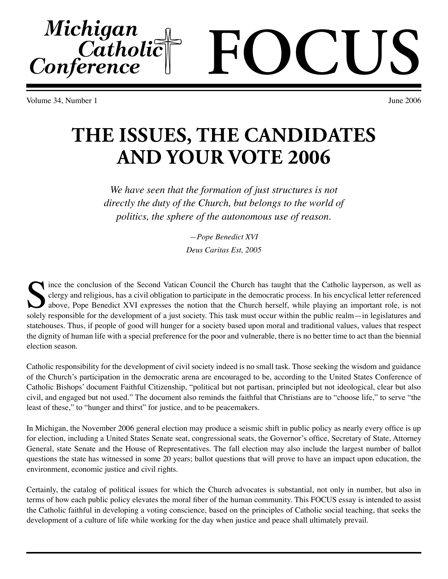Volume 34, Number 1 June 2006

Michigan<br>Catholic<br>Conference

## **THE ISSUES, THE CANDIDATES AND YOUR VOTE 2006**

*We have seen that the formation of just structures is not directly the duty of the Church, but belongs to the world of politics, the sphere of the autonomous use of reason.*

> *—Pope Benedict XVI Deus Caritas Est, 2005*

Since the conclusion of the Second Vatican Council the Church has taught that the Catholic layperson, as well as derigy and religious, has a civil obligation to participate in the democratic process. In his encyclical lett clergy and religious, has a civil obligation to participate in the democratic process. In his encyclical letter referenced above, Pope Benedict XVI expresses the notion that the Church herself, while playing an important role, is not solely responsible for the development of a just society. This task must occur within the public realm—in legislatures and statehouses. Thus, if people of good will hunger for a society based upon moral and traditional values, values that respect the dignity of human life with a special preference for the poor and vulnerable, there is no better time to act than the biennial election season.

Catholic responsibility for the development of civil society indeed is no small task. Those seeking the wisdom and guidance of the Church's participation in the democratic arena are encouraged to be, according to the United States Conference of Catholic Bishops' document Faithful Citizenship, "political but not partisan, principled but not ideological, clear but also civil, and engaged but not used." The document also reminds the faithful that Christians are to "choose life," to serve "the least of these," to "hunger and thirst" for justice, and to be peacemakers.

In Michigan, the November 2006 general election may produce a seismic shift in public policy as nearly every office is up for election, including a United States Senate seat, congressional seats, the Governor's office, Secretary of State, Attorney General, state Senate and the House of Representatives. The fall election may also include the largest number of ballot questions the state has witnessed in some 20 years; ballot questions that will prove to have an impact upon education, the environment, economic justice and civil rights.

Certainly, the catalog of political issues for which the Church advocates is substantial, not only in number, but also in terms of how each public policy elevates the moral fiber of the human community. This FOCUS essay is intended to assist the Catholic faithful in developing a voting conscience, based on the principles of Catholic social teaching, that seeks the development of a culture of life while working for the day when justice and peace shall ultimately prevail.

# **FOCUS**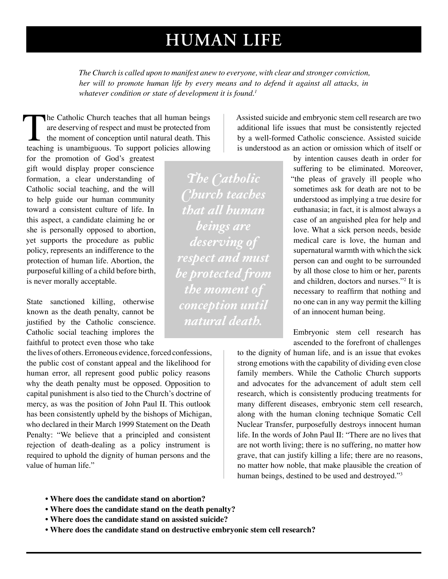### **HUMAN LIFE**

*The Church is called upon to manifest anew to everyone, with clear and stronger conviction, her will to promote human life by every means and to defend it against all attacks, in*  whatever condition or state of development it is found.<sup>1</sup>

The Catholic Church teaches that all human beings<br>are deserving of respect and must be protected from<br>the moment of conception until natural death. This<br>teaching is unambiguous. To support policies allowing are deserving of respect and must be protected from the moment of conception until natural death. This

for the promotion of God's greatest gift would display proper conscience formation, a clear understanding of Catholic social teaching, and the will to help guide our human community toward a consistent culture of life. In this aspect, a candidate claiming he or she is personally opposed to abortion, yet supports the procedure as public policy, represents an indifference to the protection of human life. Abortion, the purposeful killing of a child before birth, is never morally acceptable.

State sanctioned killing, otherwise known as the death penalty, cannot be justified by the Catholic conscience. Catholic social teaching implores the faithful to protect even those who take

the lives of others. Erroneous evidence, forced confessions, the public cost of constant appeal and the likelihood for human error, all represent good public policy reasons why the death penalty must be opposed. Opposition to capital punishment is also tied to the Church's doctrine of mercy, as was the position of John Paul II. This outlook has been consistently upheld by the bishops of Michigan, who declared in their March 1999 Statement on the Death Penalty: "We believe that a principled and consistent rejection of death-dealing as a policy instrument is required to uphold the dignity of human persons and the value of human life."

*The Catholic Church teaches that all human beings are deserving of respect and must be protected from the moment of conception until natural death.*

Assisted suicide and embryonic stem cell research are two additional life issues that must be consistently rejected by a well-formed Catholic conscience. Assisted suicide is understood as an action or omission which of itself or

> by intention causes death in order for suffering to be eliminated. Moreover, "the pleas of gravely ill people who sometimes ask for death are not to be understood as implying a true desire for euthanasia; in fact, it is almost always a case of an anguished plea for help and love. What a sick person needs, beside medical care is love, the human and supernatural warmth with which the sick person can and ought to be surrounded by all those close to him or her, parents and children, doctors and nurses."2 It is necessary to reaffirm that nothing and no one can in any way permit the killing of an innocent human being.

Embryonic stem cell research has ascended to the forefront of challenges

to the dignity of human life, and is an issue that evokes strong emotions with the capability of dividing even close family members. While the Catholic Church supports and advocates for the advancement of adult stem cell research, which is consistently producing treatments for many different diseases, embryonic stem cell research, along with the human cloning technique Somatic Cell Nuclear Transfer, purposefully destroys innocent human life. In the words of John Paul II: "There are no lives that are not worth living; there is no suffering, no matter how grave, that can justify killing a life; there are no reasons, no matter how noble, that make plausible the creation of human beings, destined to be used and destroyed."<sup>3</sup>

- **Where does the candidate stand on abortion?**
- **Where does the candidate stand on the death penalty?**
- **Where does the candidate stand on assisted suicide?**
- **Where does the candidate stand on destructive embryonic stem cell research?**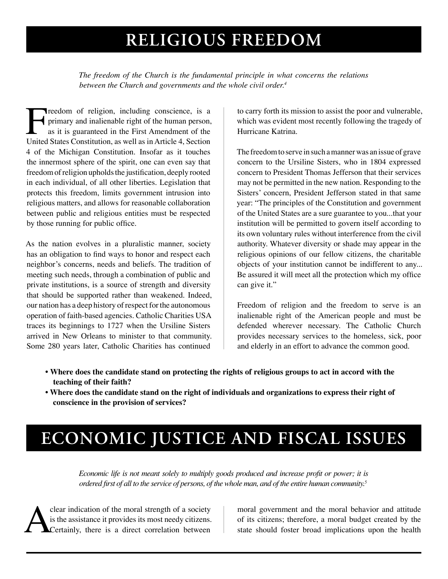## **RELIGIOUS FREEDOM**

*The freedom of the Church is the fundamental principle in what concerns the relations between the Church and governments and the whole civil order.4*

Freedom of religion, including conscience, is a primary and inalienable right of the human person, as it is guaranteed in the First Amendment of the United States Constitution, as well as in Article 4, Section primary and inalienable right of the human person, as it is guaranteed in the First Amendment of the United States Constitution, as well as in Article 4, Section 4 of the Michigan Constitution. Insofar as it touches the innermost sphere of the spirit, one can even say that freedom of religion upholds the justification, deeply rooted in each individual, of all other liberties. Legislation that protects this freedom, limits government intrusion into religious matters, and allows for reasonable collaboration between public and religious entities must be respected by those running for public office.

As the nation evolves in a pluralistic manner, society has an obligation to find ways to honor and respect each neighbor's concerns, needs and beliefs. The tradition of meeting such needs, through a combination of public and private institutions, is a source of strength and diversity that should be supported rather than weakened. Indeed, our nation has a deep history of respect for the autonomous operation of faith-based agencies. Catholic Charities USA traces its beginnings to 1727 when the Ursiline Sisters arrived in New Orleans to minister to that community. Some 280 years later, Catholic Charities has continued

to carry forth its mission to assist the poor and vulnerable, which was evident most recently following the tragedy of Hurricane Katrina.

The freedom to serve in such a manner was an issue of grave concern to the Ursiline Sisters, who in 1804 expressed concern to President Thomas Jefferson that their services may not be permitted in the new nation. Responding to the Sisters' concern, President Jefferson stated in that same year: "The principles of the Constitution and government of the United States are a sure guarantee to you...that your institution will be permitted to govern itself according to its own voluntary rules without interference from the civil authority. Whatever diversity or shade may appear in the religious opinions of our fellow citizens, the charitable objects of your institution cannot be indifferent to any... Be assured it will meet all the protection which my office can give it."

Freedom of religion and the freedom to serve is an inalienable right of the American people and must be defended wherever necessary. The Catholic Church provides necessary services to the homeless, sick, poor and elderly in an effort to advance the common good.

- **Where does the candidate stand on protecting the rights of religious groups to act in accord with the teaching of their faith?**
- **Where does the candidate stand on the right of individuals and organizations to express their right of conscience in the provision of services?**

## **ECONOMIC JUSTICE AND FISCAL ISSUES**

*Economic life is not meant solely to multiply goods produced and increase profit or power; it is ordered first of all to the service of persons, of the whole man, and of the entire human community.5*

clear indication of the moral strength of a society<br>is the assistance it provides its most needy citizens.<br>Certainly, there is a direct correlation between is the assistance it provides its most needy citizens. Certainly, there is a direct correlation between

moral government and the moral behavior and attitude of its citizens; therefore, a moral budget created by the state should foster broad implications upon the health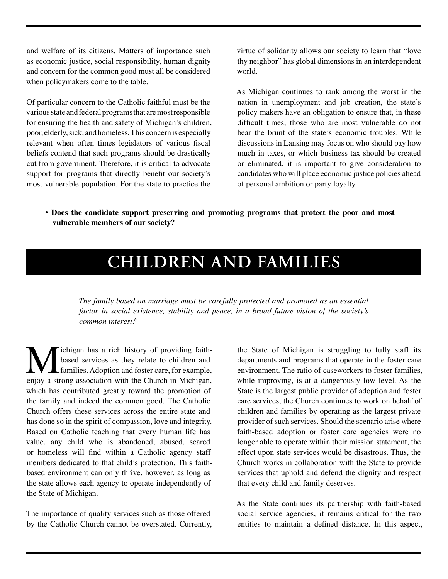and welfare of its citizens. Matters of importance such as economic justice, social responsibility, human dignity and concern for the common good must all be considered when policymakers come to the table.

Of particular concern to the Catholic faithful must be the various state and federal programs that are most responsible for ensuring the health and safety of Michigan's children, poor, elderly, sick, and homeless. This concern is especially relevant when often times legislators of various fiscal beliefs contend that such programs should be drastically cut from government. Therefore, it is critical to advocate support for programs that directly benefit our society's most vulnerable population. For the state to practice the

virtue of solidarity allows our society to learn that "love thy neighbor" has global dimensions in an interdependent world.

As Michigan continues to rank among the worst in the nation in unemployment and job creation, the state's policy makers have an obligation to ensure that, in these difficult times, those who are most vulnerable do not bear the brunt of the state's economic troubles. While discussions in Lansing may focus on who should pay how much in taxes, or which business tax should be created or eliminated, it is important to give consideration to candidates who will place economic justice policies ahead of personal ambition or party loyalty.

**• Does the candidate support preserving and promoting programs that protect the poor and most vulnerable members of our society?**

### **CHILDREN AND FAMILIES**

*The family based on marriage must be carefully protected and promoted as an essential factor in social existence, stability and peace, in a broad future vision of the society's common interest.6*

**M** ichigan has a rich history of providing faith-<br>based services as they relate to children and<br>families. Adoption and foster care, for example,<br>enjoy a strong association with the Church in Michigan, based services as they relate to children and families. Adoption and foster care, for example, enjoy a strong association with the Church in Michigan, which has contributed greatly toward the promotion of the family and indeed the common good. The Catholic Church offers these services across the entire state and has done so in the spirit of compassion, love and integrity. Based on Catholic teaching that every human life has value, any child who is abandoned, abused, scared or homeless will find within a Catholic agency staff members dedicated to that child's protection. This faithbased environment can only thrive, however, as long as the state allows each agency to operate independently of the State of Michigan.

The importance of quality services such as those offered by the Catholic Church cannot be overstated. Currently, the State of Michigan is struggling to fully staff its departments and programs that operate in the foster care environment. The ratio of caseworkers to foster families, while improving, is at a dangerously low level. As the State is the largest public provider of adoption and foster care services, the Church continues to work on behalf of children and families by operating as the largest private provider of such services. Should the scenario arise where faith-based adoption or foster care agencies were no longer able to operate within their mission statement, the effect upon state services would be disastrous. Thus, the Church works in collaboration with the State to provide services that uphold and defend the dignity and respect that every child and family deserves.

As the State continues its partnership with faith-based social service agencies, it remains critical for the two entities to maintain a defined distance. In this aspect,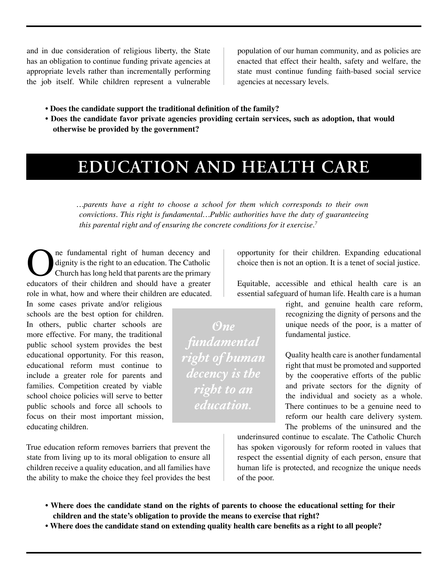and in due consideration of religious liberty, the State has an obligation to continue funding private agencies at appropriate levels rather than incrementally performing the job itself. While children represent a vulnerable population of our human community, and as policies are enacted that effect their health, safety and welfare, the state must continue funding faith-based social service agencies at necessary levels.

- **Does the candidate support the traditional definition of the family?**
- **Does the candidate favor private agencies providing certain services, such as adoption, that would otherwise be provided by the government?**

#### **EDUCATION AND HEALTH CARE**

*…parents have a right to choose a school for them which corresponds to their own convictions. This right is fundamental…Public authorities have the duty of guaranteeing this parental right and of ensuring the concrete conditions for it exercise.7*

The fundamental right of human decency and dignity is the right to an education. The Catholic Church has long held that parents are the primary educators of their children and should have a greater dignity is the right to an education. The Catholic Church has long held that parents are the primary educators of their children and should have a greater role in what, how and where their children are educated.

In some cases private and/or religious schools are the best option for children. In others, public charter schools are more effective. For many, the traditional public school system provides the best educational opportunity. For this reason, educational reform must continue to include a greater role for parents and families. Competition created by viable school choice policies will serve to better public schools and force all schools to focus on their most important mission, educating children.

True education reform removes barriers that prevent the state from living up to its moral obligation to ensure all children receive a quality education, and all families have the ability to make the choice they feel provides the best opportunity for their children. Expanding educational choice then is not an option. It is a tenet of social justice.

Equitable, accessible and ethical health care is an essential safeguard of human life. Health care is a human

> right, and genuine health care reform, recognizing the dignity of persons and the unique needs of the poor, is a matter of fundamental justice.

> Quality health care is another fundamental right that must be promoted and supported by the cooperative efforts of the public and private sectors for the dignity of the individual and society as a whole. There continues to be a genuine need to reform our health care delivery system. The problems of the uninsured and the

underinsured continue to escalate. The Catholic Church has spoken vigorously for reform rooted in values that respect the essential dignity of each person, ensure that human life is protected, and recognize the unique needs of the poor.

- **Where does the candidate stand on the rights of parents to choose the educational setting for their children and the state's obligation to provide the means to exercise that right?**
- **Where does the candidate stand on extending quality health care benefits as a right to all people?**

*One fundamental right of human decency is the right to an education.*